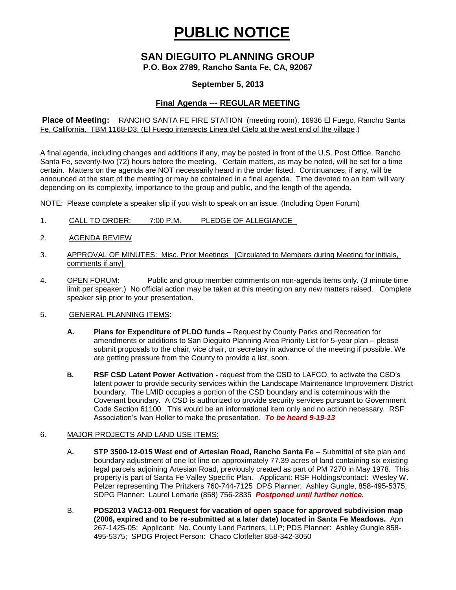# **PUBLIC NOTICE**

# **SAN DIEGUITO PLANNING GROUP**

**P.O. Box 2789, Rancho Santa Fe, CA, 92067**

## **September 5, 2013**

# **Final Agenda --- REGULAR MEETING**

**Place of Meeting:** RANCHO SANTA FE FIRE STATION (meeting room), 16936 El Fuego, Rancho Santa Fe, California. TBM 1168-D3, (El Fuego intersects Linea del Cielo at the west end of the village.)

A final agenda, including changes and additions if any, may be posted in front of the U.S. Post Office, Rancho Santa Fe, seventy-two (72) hours before the meeting. Certain matters, as may be noted, will be set for a time certain. Matters on the agenda are NOT necessarily heard in the order listed. Continuances, if any, will be announced at the start of the meeting or may be contained in a final agenda. Time devoted to an item will vary depending on its complexity, importance to the group and public, and the length of the agenda.

NOTE: Please complete a speaker slip if you wish to speak on an issue. (Including Open Forum)

- 1. CALL TO ORDER: 7:00 P.M. PLEDGE OF ALLEGIANCE
- 2. AGENDA REVIEW
- 3. APPROVAL OF MINUTES: Misc. Prior Meetings [Circulated to Members during Meeting for initials, comments if any]
- 4. OPEN FORUM: Public and group member comments on non-agenda items only. (3 minute time limit per speaker.) No official action may be taken at this meeting on any new matters raised. Complete speaker slip prior to your presentation.

#### 5. GENERAL PLANNING ITEMS:

- **A. Plans for Expenditure of PLDO funds –** Request by County Parks and Recreation for amendments or additions to San Dieguito Planning Area Priority List for 5-year plan – please submit proposals to the chair, vice chair, or secretary in advance of the meeting if possible. We are getting pressure from the County to provide a list, soon.
- **B. RSF CSD Latent Power Activation -** request from the CSD to LAFCO, to activate the CSD's latent power to provide security services within the Landscape Maintenance Improvement District boundary. The LMID occupies a portion of the CSD boundary and is coterminous with the Covenant boundary. A CSD is authorized to provide security services pursuant to Government Code Section 61100. This would be an informational item only and no action necessary. RSF Association's Ivan Holler to make the presentation. *To be heard 9-19-13*

#### 6. MAJOR PROJECTS AND LAND USE ITEMS:

- A**. STP 3500-12-015 West end of Artesian Road, Rancho Santa Fe** Submittal of site plan and boundary adjustment of one lot line on approximately 77.39 acres of land containing six existing legal parcels adjoining Artesian Road, previously created as part of PM 7270 in May 1978. This property is part of Santa Fe Valley Specific Plan.Applicant: RSF Holdings/contact: Wesley W. Pelzer representing The Pritzkers 760-744-7125 DPS Planner: Ashley Gungle, 858-495-5375; SDPG Planner: Laurel Lemarie (858) 756-2835 *Postponed until further notice.*
- B. **PDS2013 VAC13-001 Request for vacation of open space for approved subdivision map (2006, expired and to be re-submitted at a later date) located in Santa Fe Meadows.** Apn 267-1425-05; Applicant: No. County Land Partners, LLP; PDS Planner: Ashley Gungle 858- 495-5375; SPDG Project Person: Chaco Clotfelter 858-342-3050